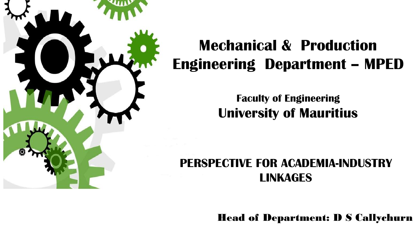

#### **Mechanical & Production Engineering Department – MPED**

**Faculty of Engineering University of Mauritius**

#### **PERSPECTIVE FOR ACADEMIA-INDUSTRY LINKAGES**

Head of Department: D S Callychurn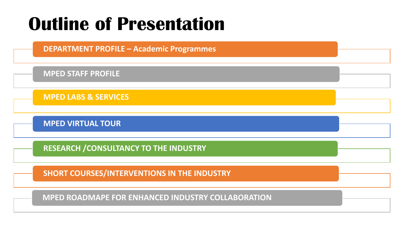## **Outline of Presentation**

**DEPARTMENT PROFILE – Academic Programmes**

**MPED STAFF PROFILE**

**MPED LABS & SERVICES**

**MPED VIRTUAL TOUR**

**RESEARCH /CONSULTANCY TO THE INDUSTRY**

**SHORT COURSES/INTERVENTIONS IN THE INDUSTRY**

**MPED ROADMAPE FOR ENHANCED INDUSTRY COLLABORATION**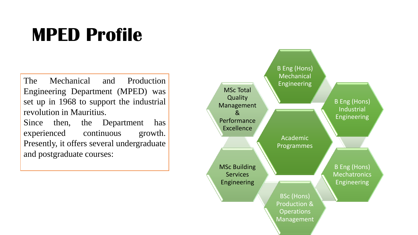## **MPED Profile**

The Mechanical and Production Engineering Department (MPED) was set up in 1968 to support the industrial revolution in Mauritius. Since then, the Department has experienced continuous growth. Presently, it offers several undergraduate and postgraduate courses:

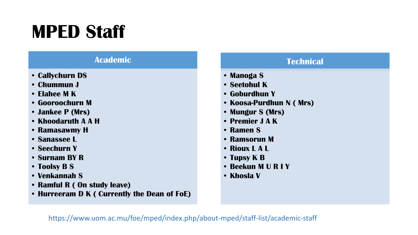## **MPED Staff**

#### **Academic**

- **• Callychurn DS**
- **• Chummun J**
- **• Elahee M K**
- **• Gooroochurn M**
- **• Jankee P (Mrs)**
- **• Khoodaruth A A H**
- **• Ramasawmy H**
- **• Sanassee L**
- **• Seechurn Y**
- **• Surnam BY R**
- **• Toolsy B S**
- **• Venkannah S**
- **• Ramful R ( On study leave)**
- **• Hurreeram D K ( Currently the Dean of FoE)**

#### **Technical**

- **• Manoga S**
- **• Seetohul K**
- **• Goburdhun Y**
- **• Koosa-Purdhun N ( Mrs)**
- **• Mungur S (Mrs)**
- **• Premier J A K**
- **• Ramen S**
- **• Ramsorun M**
- **• Rioux L A L**
- **• Tupsy K B**
- **• Beekun M U R I Y**
- **• Khosla V**

https://www.uom.ac.mu/foe/mped/index.php/about-mped/staff-list/academic-staff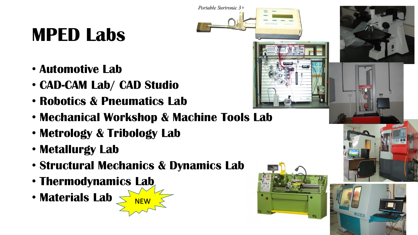## **MPED Labs**

- **Automotive Lab**
- **CAD-CAM Lab/ CAD Studio**
- **Robotics & Pneumatics Lab**
- **Mechanical Workshop & Machine Tools Lab**
- **Metrology & Tribology Lab**
- **Metallurgy Lab**
- **Structural Mechanics & Dynamics Lab**
- **Thermodynamics Lab**
- Materials Lab



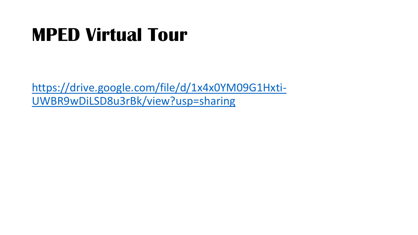## **MPED Virtual Tour**

[https://drive.google.com/file/d/1x4x0YM09G1Hxti-](https://drive.google.com/file/d/1x4x0YM09G1Hxti-UWBR9wDiLSD8u3rBk/view?usp=sharing)UWBR9wDiLSD8u3rBk/view?usp=sharing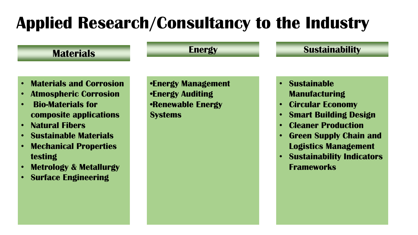#### **Applied Research/Consultancy to the Industry**

#### **Materials**

#### **Energy Sustainability**

- **Materials and Corrosion**
- **Atmospheric Corrosion**
- **Bio-Materials for composite applications**
- **Natural Fibers**
- **Sustainable Materials**
- **Mechanical Properties testing**
- **Metrology & Metallurgy**
- **Surface Engineering**

**•Energy Management •Energy Auditing •Renewable Energy Systems** 

- **Sustainable Manufacturing**
- **Circular Economy**
- **Smart Building Design**
- **Cleaner Production**
- **Green Supply Chain and Logistics Management**
- **Sustainability Indicators Frameworks**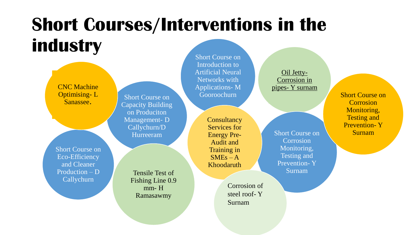## **Short Courses/Interventions in the industry**

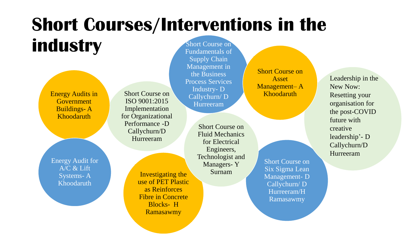#### **Short Courses/Interventions in the industry** Short Course on

Energy Audits in Government Buildings- A Khoodaruth

Energy Audit for A/C & Lift Systems- A Khoodaruth

Short Course on ISO 9001:2015 Implementation for Organizational Performance -D Callychurn/D Hurreeram

> Investigating the use of PET Plastic as Reinforces Fibre in Concrete Blocks- H Ramasawmy

Fundamentals of Supply Chain Management in the Business Process Services Industry- D Callychurn/ D Hurreeram

> Short Course on Fluid Mechanics for Electrical Engineers, Technologist and Managers- Y Surnam

Short Course on Six Sigma Lean Management- D Callychurn/ D Hurreeram/H Ramasawmy

Short Course on Asset Management– A Khoodaruth

Leadership in the New Now: Resetting your organisation for the post-COVID future with creative leadership'- D Callychurn/D Hurreeram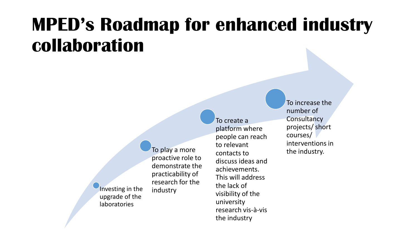## **MPED's Roadmap for enhanced industry collaboration**

Investing in the upgrade of the laboratories industry

To play a more proactive role to demonstrate the practicability of research for the To create a platform where people can reach to relevant contacts to discuss ideas and achievements. This will address the lack of visibility of the university

research vis-à-vis

the industry

To increase the number of **Consultancy** projects/ short courses/ interventions in the industry.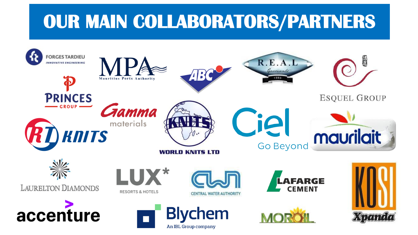## **OUR MAIN COLLABORATORS/PARTNERS**